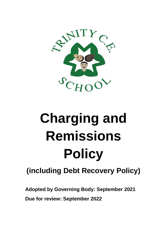

# **Charging and Remissions Policy**

# **(including Debt Recovery Policy)**

**Adopted by Governing Body: September 2021**

**Due for review: September 2022**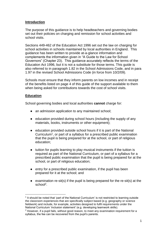# **Introduction**

The purpose of this guidance is to help headteachers and governing bodies set out their policies on charging and remission for school activities and school visits.

Sections 449-462 of the Education Act 1996 set out the law on charging for school activities in schools maintained by local authorities in England. This guidance has been written to provide at-a-glance information and complements the information given in "A Guide to the Law for School Governors" (Chapter 23). This guidance accurately reflects the terms of the Education Act 1996, but it is not a substitute for those terms. This guide is also referred to in paragraph 1.82 in the School Admissions Code, and in para 1.97 in the revised School Admissions Code (in force from 10/2/09).

Schools must ensure that they inform parents on low incomes and in receipt of the benefits listed on page 4 of this guide of the support available to them when being asked for contributions towards the cost of school visits.

#### **Education**

-

School governing bodies and local authorities **cannot** charge for:

- an admission application to any maintained school;
- education provided during school hours (including the supply of any materials, books, instruments or other equipment);
- education provided outside school hours if it is part of the National Curriculum<sup>1</sup>, or part of a syllabus for a prescribed public examination that the pupil is being prepared for at the school, or part of religious education;
- tuition for pupils learning to play musical instruments if the tuition is required as part of the National Curriculum, or part of a syllabus for a prescribed public examination that the pupil is being prepared for at the school, or part of religious education;
- entry for a prescribed public examination, if the pupil has been prepared for it at the school; and
- $\bullet$  examination re-sit(s) if the pupil is being prepared for the re-sit(s) at the school<sup>2</sup>.

<sup>&</sup>lt;sup>1</sup> It should be noted that 'part of the National Curriculum' is not restricted to learning outside the classroom experiences that are specifically subject based (e.g. geography or science fieldwork) and include, for example, activities designed to fulfil requirements under the National Curriculum 'inclusion statement' (e.g. developing teamwork skills).

 $<sup>2</sup>$  However, if a pupil fails, without good reason, to meet any examination requirement for a</sup> syllabus, the fee can be recovered from the pupil's parents.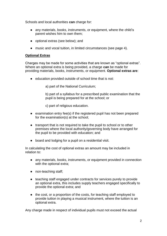Schools and local authorities **can** charge for:

- any materials, books, instruments, or equipment, where the child's parent wishes him to own them;
- optional extras (see below); and
- music and vocal tuition, in limited circumstances (see page 4).

# **Optional Extras**

Charges may be made for some activities that are known as "optional extras". Where an optional extra is being provided, a charge **can** be made for providing materials, books, instruments, or equipment. **Optional extras are**:

● education provided outside of school time that is not:

a) part of the National Curriculum;

b) part of a syllabus for a prescribed public examination that the pupil is being prepared for at the school; or

c) part of religious education.

- examination entry fee(s) if the registered pupil has not been prepared for the examination(s) at the school;
- transport that is not required to take the pupil to school or to other premises where the local authority/governing body have arranged for the pupil to be provided with education; and
- board and lodging for a pupil on a residential visit.

In calculating the cost of optional extras an amount may be included in relation to:

- any materials, books, instruments, or equipment provided in connection with the optional extra;
- non-teaching staff;
- teaching staff engaged under contracts for services purely to provide an optional extra, this includes supply teachers engaged specifically to provide the optional extra; and
- the cost, or a proportion of the costs, for teaching staff employed to provide tuition in playing a musical instrument, where the tuition is an optional extra.

Any charge made in respect of individual pupils must not exceed the actual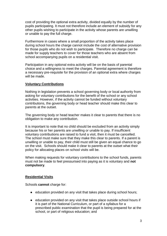cost of providing the optional extra activity, divided equally by the number of pupils participating. It must not therefore include an element of subsidy for any other pupils wishing to participate in the activity whose parents are unwilling or unable to pay the full charge.

Furthermore in cases where a small proportion of the activity takes place during school hours the charge cannot include the cost of alternative provision for those pupils who do not wish to participate. Therefore no charge can be made for supply teachers to cover for those teachers who are absent from school accompanying pupils on a residential visit.

Participation in any optional extra activity will be on the basis of parental choice and a willingness to meet the charges. Parental agreement is therefore a necessary pre-requisite for the provision of an optional extra where charges will be made.

#### **Voluntary Contributions**

Nothing in legislation prevents a school governing body or local authority from asking for voluntary contributions for the benefit of the school or any school activities. However, if the activity cannot be funded without voluntary contributions, the governing body or head teacher should make this clear to parents at the outset.

The governing body or head teacher makes it clear to parents that there is no obligation to make any contribution.

It is important to note that no child should be excluded from an activity simply because his or her parents are unwilling or unable to pay. If insufficient voluntary contributions are raised to fund a visit, then it must be cancelled. The school must make sure that they make this clear to parents. If a parent is unwilling or unable to pay, their child must still be given an equal chance to go on the visit. Schools should make it clear to parents at the outset what their policy for allocating places on school visits will be.

When making requests for voluntary contributions to the school funds, parents must not be made to feel pressurised into paying as it is voluntary and **not compulsory**.

# **Residential Visits**

Schools **cannot** charge for:

- education provided on any visit that takes place during school hours;
- education provided on any visit that takes place outside school hours if it is part of the National Curriculum, or part of a syllabus for a prescribed public examination that the pupil is being prepared for at the school, or part of religious education; and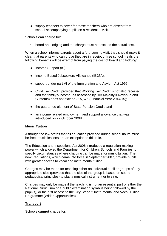● supply teachers to cover for those teachers who are absent from school accompanying pupils on a residential visit.

Schools **can** charge for:

board and lodging and the charge must not exceed the actual cost.

When a school informs parents about a forthcoming visit, they should make it clear that parents who can prove they are in receipt of free school meals the following benefits will be exempt from paying the cost of board and lodging:

- Income Support (IS);
- Income Based Jobseekers Allowance (IBJSA);
- support under part VI of the Immigration and Asylum Act 1999;
- Child Tax Credit, provided that Working Tax Credit is not also received and the family's income (as assessed by Her Majesty's Revenue and Customs) does not exceed £15,575 (Financial Year 2014/15);
- the guarantee element of State Pension Credit; and
- an income related employment and support allowance that was introduced on 27 October 2008.

#### **Music Tuition**

Although the law states that all education provided during school hours must be free, music lessons are an exception to this rule.

The Education and Inspections Act 2006 introduced a regulation-making power which allowed the Department for Children, Schools and Families to specify circumstances where charging can be made for music tuition. The new Regulations, which came into force in September 2007, provide pupils with greater access to vocal and instrumental tuition.

Charges may be made for teaching either an individual pupil or groups of any appropriate size (provided that the size of the group is based on sound pedagogical principles) to play a musical instrument or to sing.

Charges may only be made if the teaching is not an essential part of either the National Curriculum or a public examination syllabus being followed by the pupil(s), or the first access to the Key Stage 2 Instrumental and Vocal Tuition Programme (Wider Opportunities).

#### **Transport**

Schools **cannot** charge for: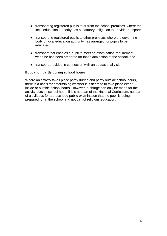- transporting registered pupils to or from the school premises, where the local education authority has a statutory obligation to provide transport;
- transporting registered pupils to other premises where the governing body or local education authority has arranged for pupils to be educated;
- transport that enables a pupil to meet an examination requirement when he has been prepared for that examination at the school; and
- transport provided in connection with an educational visit.

#### **Education partly during school hours**

Where an activity takes place partly during and partly outside school hours, there is a basis for determining whether it is deemed to take place either inside or outside school hours. However, a charge can only be made for the activity outside school hours if it is not part of the National Curriculum, not part of a syllabus for a prescribed public examination that the pupil is being prepared for at the school and not part of religious education.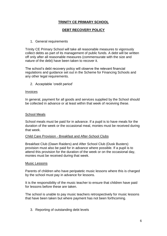# **TRINITY CE PRIMARY SCHOOL**

# **DEBT RECOVERY POLICY**

#### 1. General requirements

Trinity CE Primary School will take all reasonable measures to vigorously collect debts as part of its management of public funds. A debt will be written off only after all reasonable measures (commensurate with the size and nature of the debt) have been taken to recover it.

The school's debt recovery policy will observe the relevant financial regulations and guidance set out in the Scheme for Financing Schools and any other legal requirements.

2. Acceptable 'credit period'

#### Invoices

In general, payment for all goods and services supplied by the School should be collected in advance or at least within that week of receiving these.

#### School Meals

School meals must be paid for in advance. If a pupil is to have meals for the duration of the week or the occasional meal, monies must be received during that week.

#### Child Care Provision - Breakfast and After-School Clubs

Breakfast Club (Dawn Raiders) and After School Club (Dusk Busters) provision must also be paid for in advance where possible. If a pupil is to attend this provision for the duration of the week or on the occasional day, monies must be received during that week.

#### Music Lessons

Parents of children who have peripatetic music lessons where this is charged by the school must pay in advance for lessons.

It is the responsibility of the music teacher to ensure that children have paid for lessons before these are taken.

The school is unable to pay music teachers retrospectively for music lessons that have been taken but where payment has not been forthcoming.

3. Reporting of outstanding debt levels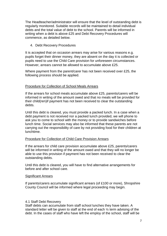The Headteacher/administrator will ensure that the level of outstanding debt is regularly monitored. Suitable records will be maintained to detail individual debts and the total value of debt to the school. Parents will be informed in writing when a debt is above £25 and Debt Recovery Procedures will commence, as detailed below.

4. Debt Recovery Procedures

It is accepted that on occasion arrears may arise for various reasons e.g. pupils forget their dinner money, they are absent on the day it is collected or pupils need to use the Child Care provision for unforeseen circumstances. However, arrears cannot be allowed to accumulate above £25.

Where payment from the parent/carer has not been received over £25, the following process should be applied.

# Procedure for Collection of School Meals Arrears

If the arrears for school meals accumulate above £25, parents/carers will be informed in writing of the amount owed and that no meals will be provided for their child(ren)if payment has not been received to clear the outstanding debts.

Until this debt is cleared, you must provide a packed lunch. In a case when a debt payment is not received nor a packed lunch provided, we will phone to ask you to come to school with the money or to provide sandwiches before lunch time. Social services may also be informed that these parents are not carrying out the responsibility of care by not providing food for their children at lunchtime.

#### Procedure for Collection of Child Care Provision Arrears

If the arrears for child care provision accumulate above £25, parents/carers will be informed in writing of the amount owed and that they will no longer be able to use this provision if payment has not been received to clear the outstanding debts.

Until this debt is cleared, you will have to find alternative arrangements for before and after school care.

#### Significant Arrears

If parents/carers accumulate significant arrears (of £100 or more), Shropshire County Council will be informed where legal proceeding may begin.

# 4.1 Staff Debt Recovery

Staff debts can accumulate from staff school lunches they have taken. A standard letter will be given to staff at the end of each ½ term advising of the debt. In the cases of staff who have left the employ of the school, staff will be